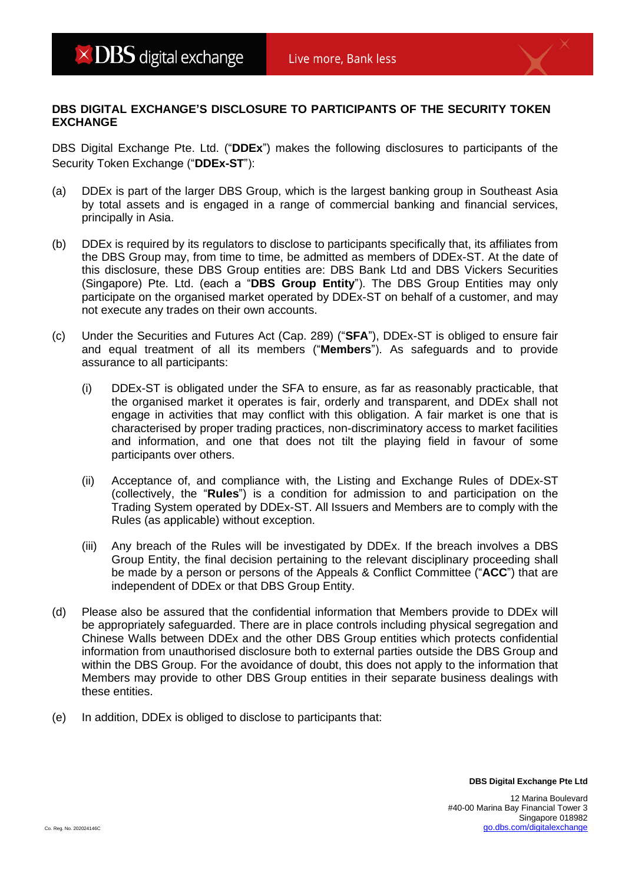## **DBS DIGITAL EXCHANGE'S DISCLOSURE TO PARTICIPANTS OF THE SECURITY TOKEN EXCHANGE**

DBS Digital Exchange Pte. Ltd. ("**DDEx**") makes the following disclosures to participants of the Security Token Exchange ("**DDEx-ST**"):

- (a) DDEx is part of the larger DBS Group, which is the largest banking group in Southeast Asia by total assets and is engaged in a range of commercial banking and financial services, principally in Asia.
- (b) DDEx is required by its regulators to disclose to participants specifically that, its affiliates from the DBS Group may, from time to time, be admitted as members of DDEx-ST. At the date of this disclosure, these DBS Group entities are: DBS Bank Ltd and DBS Vickers Securities (Singapore) Pte. Ltd. (each a "**DBS Group Entity**"). The DBS Group Entities may only participate on the organised market operated by DDEx-ST on behalf of a customer, and may not execute any trades on their own accounts.
- (c) Under the Securities and Futures Act (Cap. 289) ("**SFA**"), DDEx-ST is obliged to ensure fair and equal treatment of all its members ("**Members**"). As safeguards and to provide assurance to all participants:
	- (i) DDEx-ST is obligated under the SFA to ensure, as far as reasonably practicable, that the organised market it operates is fair, orderly and transparent, and DDEx shall not engage in activities that may conflict with this obligation. A fair market is one that is characterised by proper trading practices, non-discriminatory access to market facilities and information, and one that does not tilt the playing field in favour of some participants over others.
	- (ii) Acceptance of, and compliance with, the Listing and Exchange Rules of DDEx-ST (collectively, the "**Rules**") is a condition for admission to and participation on the Trading System operated by DDEx-ST. All Issuers and Members are to comply with the Rules (as applicable) without exception.
	- (iii) Any breach of the Rules will be investigated by DDEx. If the breach involves a DBS Group Entity, the final decision pertaining to the relevant disciplinary proceeding shall be made by a person or persons of the Appeals & Conflict Committee ("**ACC**") that are independent of DDEx or that DBS Group Entity.
- (d) Please also be assured that the confidential information that Members provide to DDEx will be appropriately safeguarded. There are in place controls including physical segregation and Chinese Walls between DDEx and the other DBS Group entities which protects confidential information from unauthorised disclosure both to external parties outside the DBS Group and within the DBS Group. For the avoidance of doubt, this does not apply to the information that Members may provide to other DBS Group entities in their separate business dealings with these entities.
- (e) In addition, DDEx is obliged to disclose to participants that: